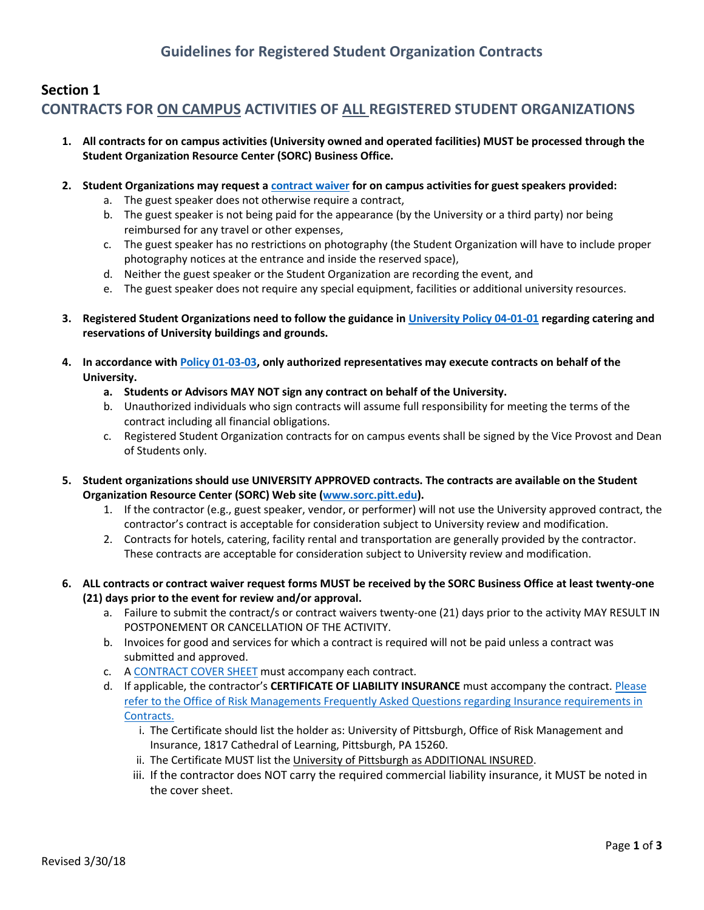# **Section 1 CONTRACTS FOR ON CAMPUS ACTIVITIES OF ALL REGISTERED STUDENT ORGANIZATIONS**

- **1. All contracts for on campus activities (University owned and operated facilities) MUST be processed through the Student Organization Resource Center (SORC) Business Office.**
- **2. Student Organizations may request a [contract waiver](https://na01.safelinks.protection.outlook.com/?url=https%3A%2F%2Fna2.docusign.net%2FMember%2FPowerFormSigning.aspx%3FPowerFormId%3D2c1994aa-2c76-4c51-bad0-f0b72e274328&data=02%7C01%7C%7C51746f8e6e7a4830622708d60ce588ff%7C9ef9f489e0a04eeb87cc3a526112fd0d%7C1%7C0%7C636710577305996862&sdata=%2BNwzApGIPotcTW8gJ9wsZ1lo6QehnJ5TKLD6qYA5XPM%3D&reserved=0) for on campus activities for guest speakers provided:**
	- a. The guest speaker does not otherwise require a contract,
	- b. The guest speaker is not being paid for the appearance (by the University or a third party) nor being reimbursed for any travel or other expenses,
	- c. The guest speaker has no restrictions on photography (the Student Organization will have to include proper photography notices at the entrance and inside the reserved space),
	- d. Neither the guest speaker or the Student Organization are recording the event, and
	- e. The guest speaker does not require any special equipment, facilities or additional university resources.
- **3. Registered Student Organizations need to follow the guidance i[n University Policy 04-01-01](http://www.cfo.pitt.edu/policies/policy/04/04-01-01.html) regarding catering and reservations of University buildings and grounds.**
- **4. In accordance wit[h Policy 01-03-03,](https://www.cfo.pitt.edu/policies/policy/01/01-03-03.html) only authorized representatives may execute contracts on behalf of the University.**
	- **a. Students or Advisors MAY NOT sign any contract on behalf of the University.**
	- b. Unauthorized individuals who sign contracts will assume full responsibility for meeting the terms of the contract including all financial obligations.
	- c. Registered Student Organization contracts for on campus events shall be signed by the Vice Provost and Dean of Students only.
- **5. Student organizations should use UNIVERSITY APPROVED contracts. The contracts are available on the Student Organization Resource Center (SORC) Web site [\(www.sorc.pitt.edu\)](file:///C:/Users/lam145/AppData/Local/Microsoft/Windows/INetCache/Content.Outlook/M4FFIN7A/www.sorc.pitt.edu).**
	- 1. If the contractor (e.g., guest speaker, vendor, or performer) will not use the University approved contract, the contractor's contract is acceptable for consideration subject to University review and modification.
	- 2. Contracts for hotels, catering, facility rental and transportation are generally provided by the contractor. These contracts are acceptable for consideration subject to University review and modification.
- **6. ALL contracts or contract waiver request forms MUST be received by the SORC Business Office at least twenty-one (21) days prior to the event for review and/or approval.**
	- a. Failure to submit the contract/s or contract waivers twenty-one (21) days prior to the activity MAY RESULT IN POSTPONEMENT OR CANCELLATION OF THE ACTIVITY.
	- b. Invoices for good and services for which a contract is required will not be paid unless a contract was submitted and approved.
	- c. [A CONTRACT COVER SHEET](https://na01.safelinks.protection.outlook.com/?url=https%3A%2F%2Fna2.docusign.net%2FMember%2FPowerFormSigning.aspx%3FPowerFormId%3Dd05534d9-15a9-4a2d-b4ac-183c46ab2a4a&data=02%7C01%7C%7C51746f8e6e7a4830622708d60ce588ff%7C9ef9f489e0a04eeb87cc3a526112fd0d%7C1%7C0%7C636710577305996862&sdata=z6wZmUfXa4LkZEbBR1p4R%2BOrnTRwzx6BOGPSFWBiPe0%3D&reserved=0) must accompany each contract.
	- d. If applicable, the contractor's **CERTIFICATE OF LIABILITY INSURANCE** must accompany the contract. [Please](http://www.cfo.pitt.edu/risk/insuranceReqFAQ.html) [refer to the Office of Risk Managements Frequently Asked Questions regarding Insurance requirements in](http://www.cfo.pitt.edu/risk/insuranceReqFAQ.html) [Contracts.](http://www.cfo.pitt.edu/risk/insuranceReqFAQ.html)
		- i. The Certificate should list the holder as: University of Pittsburgh, Office of Risk Management and Insurance, 1817 Cathedral of Learning, Pittsburgh, PA 15260.
		- ii. The Certificate MUST list the University of Pittsburgh as ADDITIONAL INSURED.
		- iii. If the contractor does NOT carry the required commercial liability insurance, it MUST be noted in the cover sheet.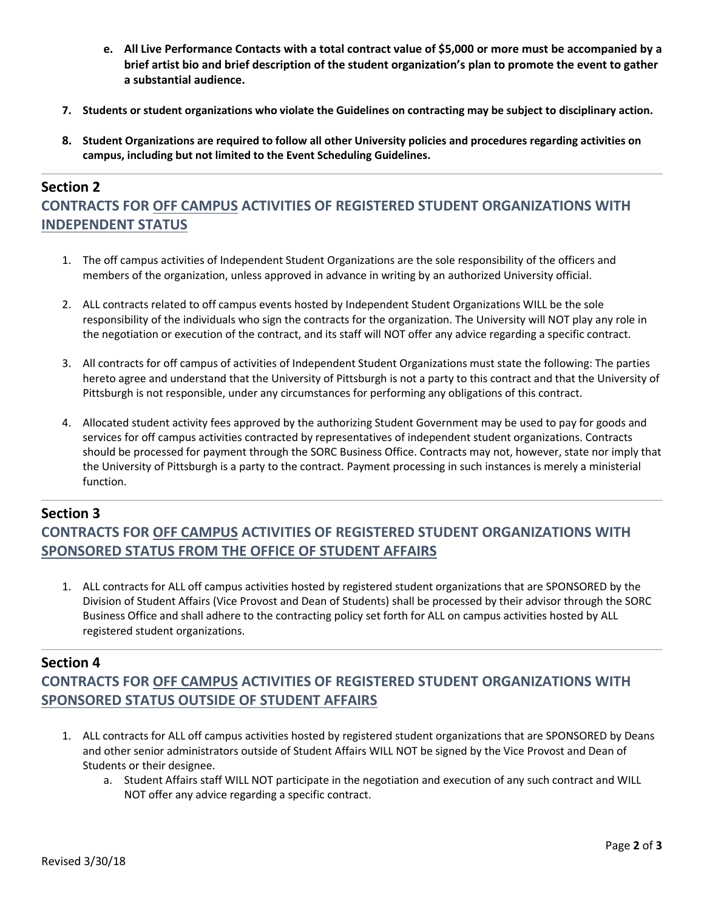- **e. All Live Performance Contacts with a total contract value of \$5,000 or more must be accompanied by a brief artist bio and brief description of the student organization's plan to promote the event to gather a substantial audience.**
- **7. Students or student organizations who violate the Guidelines on contracting may be subject to disciplinary action.**
- **8. Student Organizations are required to follow all other University policies and procedures regarding activities on campus, including but not limited to the Event Scheduling Guidelines.**

# **Section 2 CONTRACTS FOR OFF CAMPUS ACTIVITIES OF REGISTERED STUDENT ORGANIZATIONS WITH INDEPENDENT STATUS**

- 1. The off campus activities of Independent Student Organizations are the sole responsibility of the officers and members of the organization, unless approved in advance in writing by an authorized University official.
- 2. ALL contracts related to off campus events hosted by Independent Student Organizations WILL be the sole responsibility of the individuals who sign the contracts for the organization. The University will NOT play any role in the negotiation or execution of the contract, and its staff will NOT offer any advice regarding a specific contract.
- 3. All contracts for off campus of activities of Independent Student Organizations must state the following: The parties hereto agree and understand that the University of Pittsburgh is not a party to this contract and that the University of Pittsburgh is not responsible, under any circumstances for performing any obligations of this contract.
- 4. Allocated student activity fees approved by the authorizing Student Government may be used to pay for goods and services for off campus activities contracted by representatives of independent student organizations. Contracts should be processed for payment through the SORC Business Office. Contracts may not, however, state nor imply that the University of Pittsburgh is a party to the contract. Payment processing in such instances is merely a ministerial function.

#### **Section 3**

**CONTRACTS FOR OFF CAMPUS ACTIVITIES OF REGISTERED STUDENT ORGANIZATIONS WITH SPONSORED STATUS FROM THE OFFICE OF STUDENT AFFAIRS**

1. ALL contracts for ALL off campus activities hosted by registered student organizations that are SPONSORED by the Division of Student Affairs (Vice Provost and Dean of Students) shall be processed by their advisor through the SORC Business Office and shall adhere to the contracting policy set forth for ALL on campus activities hosted by ALL registered student organizations.

#### **Section 4**

### **CONTRACTS FOR OFF CAMPUS ACTIVITIES OF REGISTERED STUDENT ORGANIZATIONS WITH SPONSORED STATUS OUTSIDE OF STUDENT AFFAIRS**

- 1. ALL contracts for ALL off campus activities hosted by registered student organizations that are SPONSORED by Deans and other senior administrators outside of Student Affairs WILL NOT be signed by the Vice Provost and Dean of Students or their designee.
	- a. Student Affairs staff WILL NOT participate in the negotiation and execution of any such contract and WILL NOT offer any advice regarding a specific contract.